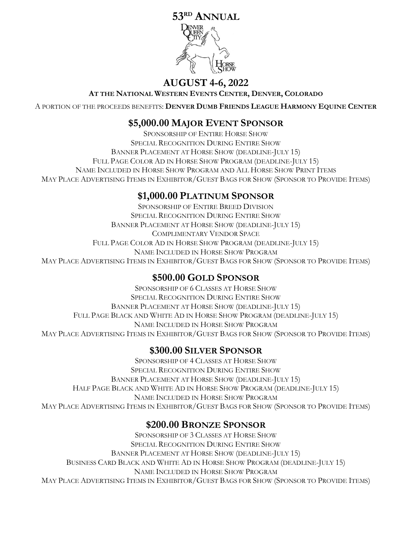# **53 RD ANNUAL**



# **AUGUST 4-6, 2022**

**AT THE NATIONAL WESTERN EVENTS CENTER, DENVER, COLORADO**

A PORTION OF THE PROCEEDS BENEFITS: **DENVER DUMB FRIENDS LEAGUE HARMONY EQUINE CENTER**

### **\$5,000.00 MAJOR EVENT SPONSOR**

SPONSORSHIP OF ENTIRE HORSE SHOW SPECIAL RECOGNITION DURING ENTIRE SHOW BANNER PLACEMENT AT HORSE SHOW (DEADLINE-JULY 15) FULL PAGE COLOR AD IN HORSE SHOW PROGRAM (DEADLINE-JULY 15) NAME INCLUDED IN HORSE SHOW PROGRAM AND ALL HORSE SHOW PRINT ITEMS MAY PLACE ADVERTISING ITEMS IN EXHIBITOR/GUEST BAGS FOR SHOW (SPONSOR TO PROVIDE ITEMS)

## **\$1,000.00 PLATINUM SPONSOR**

SPONSORSHIP OF ENTIRE BREED DIVISION SPECIAL RECOGNITION DURING ENTIRE SHOW BANNER PLACEMENT AT HORSE SHOW (DEADLINE-JULY 15) COMPLIMENTARY VENDOR SPACE FULL PAGE COLOR AD IN HORSE SHOW PROGRAM (DEADLINE-JULY 15) NAME INCLUDED IN HORSE SHOW PROGRAM MAY PLACE ADVERTISING ITEMS IN EXHIBITOR/GUEST BAGS FOR SHOW (SPONSOR TO PROVIDE ITEMS)

## **\$500.00 GOLD SPONSOR**

SPONSORSHIP OF 6 CLASSES AT HORSE SHOW SPECIAL RECOGNITION DURING ENTIRE SHOW BANNER PLACEMENT AT HORSE SHOW (DEADLINE-JULY 15) FULL PAGE BLACK AND WHITE AD IN HORSE SHOW PROGRAM (DEADLINE-JULY 15) NAME INCLUDED IN HORSE SHOW PROGRAM MAY PLACE ADVERTISING ITEMS IN EXHIBITOR/GUEST BAGS FOR SHOW (SPONSOR TO PROVIDE ITEMS)

## **\$300.00 SILVER SPONSOR**

SPONSORSHIP OF 4 CLASSES AT HORSE SHOW SPECIAL RECOGNITION DURING ENTIRE SHOW BANNER PLACEMENT AT HORSE SHOW (DEADLINE-JULY 15) HALF PAGE BLACK AND WHITE AD IN HORSE SHOW PROGRAM (DEADLINE-JULY 15) NAME INCLUDED IN HORSE SHOW PROGRAM MAY PLACE ADVERTISING ITEMS IN EXHIBITOR/GUEST BAGS FOR SHOW (SPONSOR TO PROVIDE ITEMS)

## **\$200.00 BRONZE SPONSOR**

SPONSORSHIP OF 3 CLASSES AT HORSE SHOW SPECIAL RECOGNITION DURING ENTIRE SHOW BANNER PLACEMENT AT HORSE SHOW (DEADLINE-JULY 15) BUSINESS CARD BLACK AND WHITE AD IN HORSE SHOW PROGRAM (DEADLINE-JULY 15) NAME INCLUDED IN HORSE SHOW PROGRAM MAY PLACE ADVERTISING ITEMS IN EXHIBITOR/GUEST BAGS FOR SHOW (SPONSOR TO PROVIDE ITEMS)